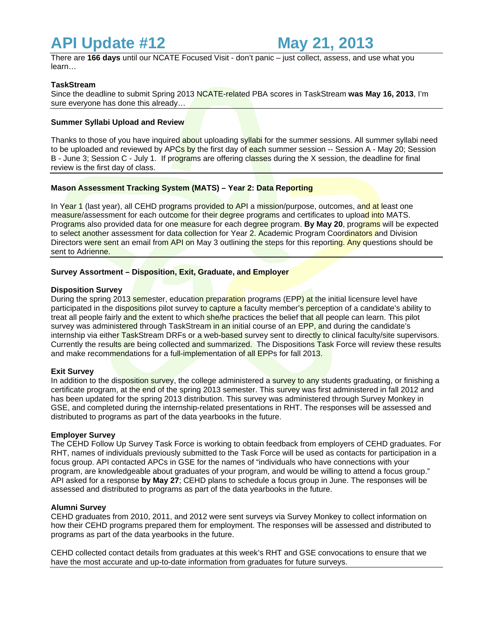# **API Update #12 May 21, 2013**

There are **166 days** until our NCATE Focused Visit - don't panic – just collect, assess, and use what you learn…

# **TaskStream**

Since the deadline to submit Spring 2013 NCATE-related PBA scores in TaskStream **was May 16, 2013**, I'm sure everyone has done this already…

## **Summer Syllabi Upload and Review**

Thanks to those of you have inquired about uploading syllabi for the summer sessions. All summer syllabi need to be uploaded and reviewed by APCs by the first day of each summer session -- Session A - May 20; Session B - June 3; Session C - July 1. If programs are offering classes during the X session, the deadline for final review is the first day of class.

# **Mason Assessment Tracking System (MATS) – Year 2: Data Reporting**

In Year 1 (last year), all CEHD programs provided to API a mission/purpose, outcomes, and at least one measure/assessment for each outcome for their degree programs and certificates to upload into MATS. Programs also provided data for one measure for each degree program. **By May 20**, programs will be expected to select another assessment for data collection for Year 2. Academic Program Coordinators and Division Directors were sent an email from API on May 3 outlining the steps for this reporting. Any questions should be sent to Adrienne.

## **Survey Assortment – Disposition, Exit, Graduate, and Employer**

#### **Disposition Survey**

During the spring 2013 semester, education preparation programs (EPP) at the initial licensure level have participated in the dispositions pilot survey to capture a faculty member's perception of a candidate's ability to treat all people fairly and the extent to which she/he practices the belief that all people can learn. This pilot survey was administered through TaskStream in an initial course of an EPP, and during the candidate's internship via either TaskStream DRFs or a web-based survey sent to directly to clinical faculty/site supervisors. Currently the results are being collected and summarized. The Dispositions Task Force will review these results and make recommendations for a full-implementation of all EPPs for fall 2013.

## **Exit Survey**

In addition to the disposition survey, the college administered a survey to any students graduating, or finishing a certificate program, at the end of the spring 2013 semester. This survey was first administered in fall 2012 and has been updated for the spring 2013 distribution. This survey was administered through Survey Monkey in GSE, and completed during the internship-related presentations in RHT. The responses will be assessed and distributed to programs as part of the data yearbooks in the future.

#### **Employer Survey**

The CEHD Follow Up Survey Task Force is working to obtain feedback from employers of CEHD graduates. For RHT, names of individuals previously submitted to the Task Force will be used as contacts for participation in a focus group. API contacted APCs in GSE for the names of "individuals who have connections with your program, are knowledgeable about graduates of your program, and would be willing to attend a focus group." API asked for a response **by May 27**; CEHD plans to schedule a focus group in June. The responses will be assessed and distributed to programs as part of the data yearbooks in the future.

#### **Alumni Survey**

CEHD graduates from 2010, 2011, and 2012 were sent surveys via Survey Monkey to collect information on how their CEHD programs prepared them for employment. The responses will be assessed and distributed to programs as part of the data yearbooks in the future.

CEHD collected contact details from graduates at this week's RHT and GSE convocations to ensure that we have the most accurate and up-to-date information from graduates for future surveys.